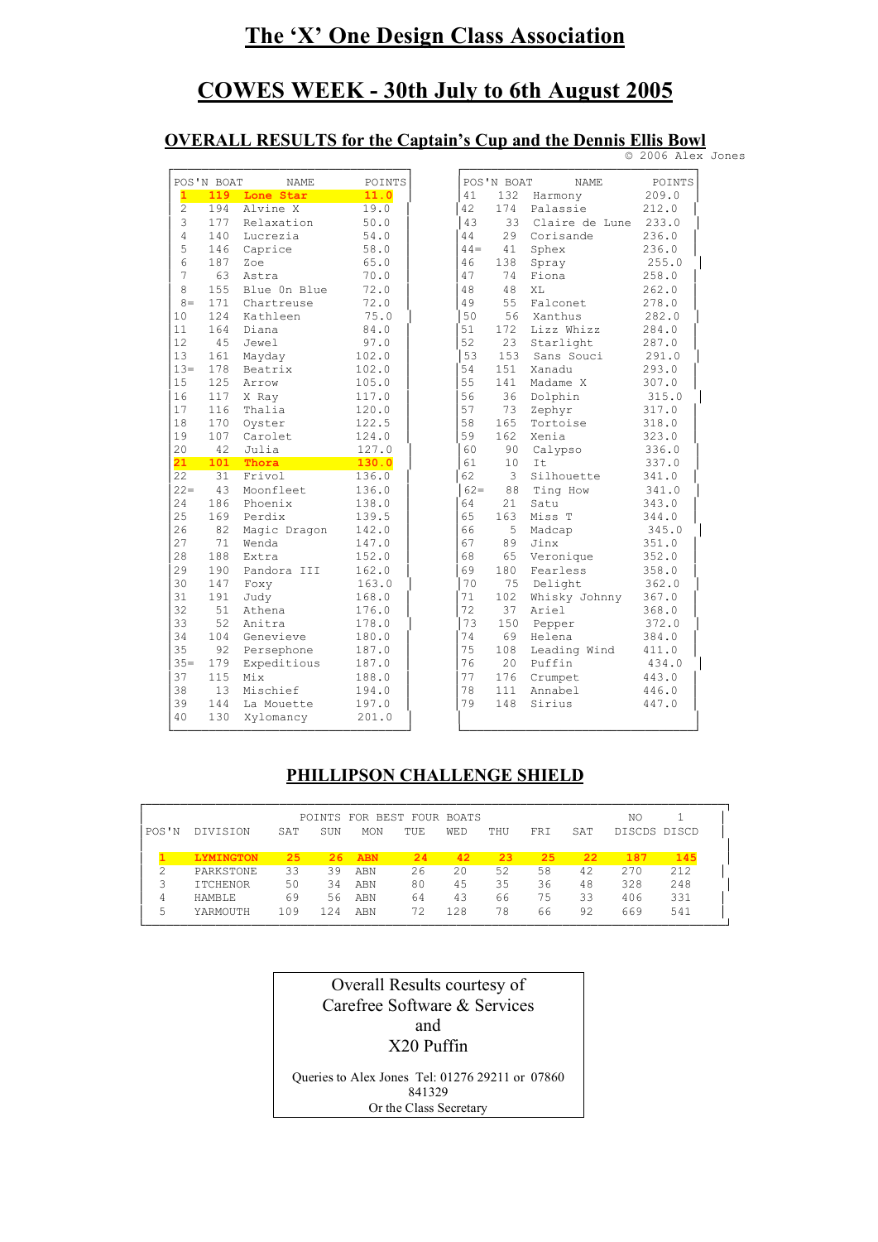# **The 'X' One Design Class Association**

# **COWES WEEK - 30th July to 6th August 2005**

### **OVERALL RESULTS for the Captain's Cup and the Dennis Ellis Bowl**

|        | POS'N BOAT | NAME           | POINTS |
|--------|------------|----------------|--------|
| 1      | 119        | Lone Star      | 11.0   |
| 2      | 194        | Alvine X       | 19.0   |
| 3      | 177        | Relaxation     | 50.0   |
| 4      | 140        | Lucrezia       | 54.0   |
| 5      | 146        | Caprice        | 58.0   |
| 6      | 187        | Zoe            | 65.0   |
| 7      | 63         | Astra          | 70.0   |
| 8      | 155        | Blue On Blue   | 72.0   |
| $8 =$  | 171        | Chartreuse     | 72.0   |
| 10     | 124        | Kathleen       | 75.0   |
| 11     | 164        | Diana          | 84.0   |
| 12     | 45         | Jewel          | 97.0   |
| 13     | 161        | Mayday         | 102.0  |
| $13 =$ | 178        | Beatrix        | 102.0  |
| 15     | 125        | Arrow          | 105.0  |
| 16     | 117        | X Ray          | 117.0  |
| 17     | 116        | Thalia         | 120.0  |
| 18     | 170        | Oyster         | 122.5  |
| 19     | 107        | Carolet        | 124.0  |
| 20     | 42         | Julia          | 127.0  |
| 21     | 101        | Thora          | 130.0  |
| 22     | 31         | Frivol         | 136.0  |
| $22 =$ | 43         | Moonfleet      | 136.0  |
| 24     | 186        | Phoenix        | 138.0  |
| 25     | 169        | Perdix         | 139.5  |
| 26     | 82         | Magic Dragon   | 142.0  |
| 27     | 71         | Wenda          | 147.0  |
| 28     | 188        | Extra          | 152.0  |
| 29     | 190        | Pandora<br>III | 162.0  |
| 30     | 147        | Foxy           | 163.0  |
| 31     | 191        | Judy           | 168.0  |
| 32     | 51         | Athena         | 176.0  |
| 33     | 52         | Anitra         | 178.0  |
| 34     | 104        | Genevieve      | 180.0  |
| 35     | 92         | Persephone     | 187.0  |
| $35 =$ | 179        | Expeditious    | 187.0  |
| 37     | 115        | Mix            | 188.0  |
| 38     | 13         | Mischief       | 194.0  |
| 39     | 144        | La Mouette     | 197.0  |
| 40     | 130        | Xylomancy      | 201.0  |

|                 | POS'N BOAT | <b>NAME</b>             | POINTS         |
|-----------------|------------|-------------------------|----------------|
| $\mathbf{1}$    |            | 119 Lone Star           | 11.0           |
| $\overline{2}$  | 194        | Alvine X                | 19.0           |
| 3               | 177        | Relaxation              | 50.0           |
| $\overline{4}$  | 140        | Lucrezia                | 54.0           |
| 5               | 146        | Caprice                 | 58.0           |
| 6               | 187        | Zoe                     | 65.0           |
| 7               | 63         | Astra                   | 70.0           |
| 8               | 155        | Blue On Blue            | 72.0           |
| $8 =$           | 171        | Chartreuse              | 72.0           |
| 10              | 124        | Kathleen                | 75.0           |
| 11              | 164        | Diana                   | 84.0           |
| 12.             | 45         | Jewel                   | 97.0           |
| 13              | 161        | Mayday                  | 102.0          |
| $13 =$          | 178        | Beatrix                 | 102.0          |
| 15              | 125        | Arrow                   | 105.0          |
| 16              | 117        | X Ray                   | 117.0          |
| 17              | 116        | Thalia                  | 120.0          |
| 18              | 170        | Oyster                  | 122.5          |
| 19              | 107        | Carolet                 | 124.0          |
| 20              | 42         | Julia                   | 127.0          |
| 21              | 101        | Thora                   | 130.0          |
| $\overline{22}$ | 31         | Frivol                  | 136.0          |
| $22 =$          | 43         | Moonfleet               | 136.0          |
| 2.4             | 186        | Phoenix                 | 138.0          |
| 25              | 169        | Perdix                  | 139.5          |
| 26              | 82         | Magic Dragon            | 142.0          |
| 27              | 71         | Wenda                   | 147.0          |
| 28              | 188        | Extra                   | 152.0          |
| 29              | 190        | Pandora III             | 162.0          |
| 30              | 147        | Foxy                    | 163.0          |
| 31              | 191        | Judy                    | 168.0          |
| 32              | 51         | Athena                  | 176.0          |
| 33              | 52         | Anitra                  | 178.0          |
|                 | 104        | Genevieve               | 180.0          |
| 34              |            | Persephone              | 187.0          |
| 35              | 92         |                         |                |
| $35 -$          | 179        | Expeditious             | 187.0          |
| 37              | 115        | Mix                     | 188.0          |
| 38              | 13         | Mischief                | 194.0          |
| 39<br>40        | 144<br>130 | La Mouette<br>Xylomancy | 197.0<br>201.0 |

© 2006 Alex Jones

## **PHILLIPSON CHALLENGE SHIELD**

|       |                  |     |     | POINTS FOR BEST FOUR BOATS |            |            |     |     |     | NO           |     |
|-------|------------------|-----|-----|----------------------------|------------|------------|-----|-----|-----|--------------|-----|
| POS'N | <b>DIVISION</b>  | SAT | SUN | <b>MON</b>                 | <b>TUE</b> | <b>WED</b> | THU | FRI | SAT | DISCDS DISCD |     |
|       | <b>LYMINGTON</b> | 25  | 26  | <b>ABN</b>                 | 24         | 42         | 23  | 25  | 22  | 187          | 145 |
|       | PARKSTONE        | 33  | 39  | ABN                        | 26         | 20         | 52  | 58  | 42  | 270          | 212 |
|       | <b>ITCHENOR</b>  | 50  | 34  | ABN                        | 80         | 45         | 35  | 36  | 48  | 328          | 248 |
| 4     | HAMBLE.          | 69  | 56  | ABN                        | 64         | 43         | 66  | 75  | 33  | 406          | 331 |
| 5     | YARMOUTH         | 109 | 124 | ABN                        | 72         | 128        | 78  | 66  | 92  | 669          | 541 |

| Overall Results courtesy of                     |
|-------------------------------------------------|
| Carefree Software & Services                    |
| and                                             |
| X20 Puffin                                      |
| Queries to Alex Jones Tel: 01276 29211 or 07860 |
| 841329                                          |

Or the Class Secretary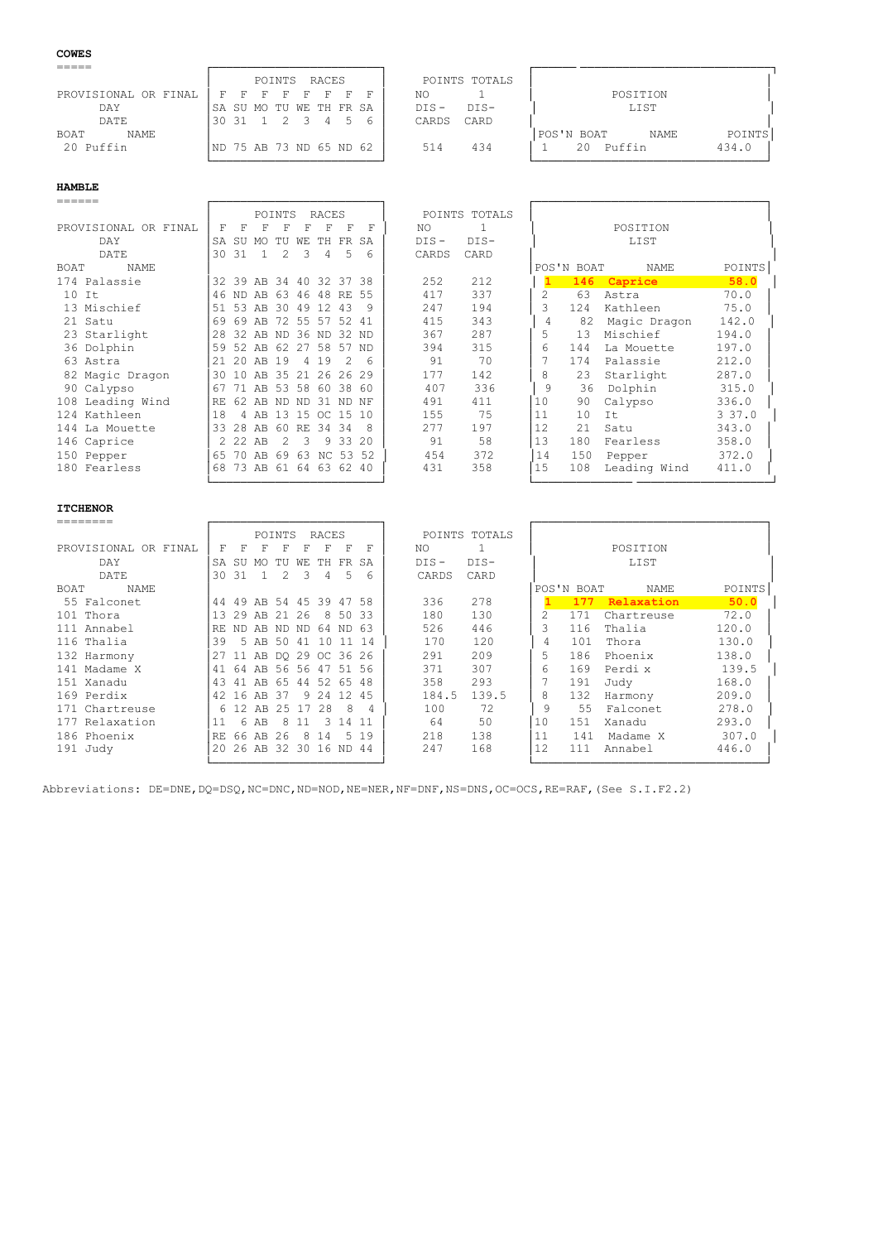### **COWES**

|                      | POINTS RACES                            | POINTS TOTALS     |                                      |
|----------------------|-----------------------------------------|-------------------|--------------------------------------|
| PROVISIONAL OR FINAL | F.<br>F.<br><b>F</b><br>F.<br>F<br>- 17 | ΝO                | POSITION                             |
| DAY                  | ISA SU MO TU WE TH FR SA                | $DTS -$<br>$DTS-$ | LIST                                 |
| DATE                 | 2 3 4 5<br>.3031                        | CARD<br>CARDS     |                                      |
| NAME<br>BOAT         |                                         |                   | POINTS<br> POS'N BOAT<br><b>NAME</b> |
| 20 Puffin            | ND 75 AB 73 ND 65 ND 62                 | 434<br>514        | Puffin<br>434.0<br>20                |
|                      |                                         |                   |                                      |

### **HAMBLE**

| ======               |     |       |                |               |     |                   |               |          |         |               |                |            |              |        |
|----------------------|-----|-------|----------------|---------------|-----|-------------------|---------------|----------|---------|---------------|----------------|------------|--------------|--------|
|                      |     |       |                | <b>POINTS</b> |     | RACES             |               |          |         | POINTS TOTALS |                |            |              |        |
| PROVISIONAL OR FINAL | F   | F     | F              | F             | F   | F                 | F             | F        | NO.     |               |                |            | POSITION     |        |
| DAY                  | SA  | SU    | MO.            | TU            | WЕ  | TH                | FR SA         |          | $DIS -$ | $DIS-$        |                |            | LIST         |        |
| DATE                 | 30  | 31    |                | $\mathcal{L}$ | -3  | 4                 | .5            | 6        | CARDS   | CARD          |                |            |              |        |
| NAME<br>BOAT         |     |       |                |               |     |                   |               |          |         |               |                | POS'N BOAT | NAME         | POINTS |
| 174 Palassie         |     |       | 32 39 AB 34 40 |               |     |                   | 32 37 38      |          | 252     | 212           |                | 146        | Caprice      | 58.0   |
| $10$ It              |     | 46 ND | AB             |               |     | 63 46 48 RE 55    |               |          | 417     | 337           | 2              | 63         | Astra        | 70.0   |
| 13 Mischief          | 51  | 53    |                | AB 30 49      |     | 12.               | 43            | 9        | 247     | 194           | 3              | 124        | Kathleen     | 75.0   |
| 21 Satu              | 69  | 69    | AB             |               |     | 72 55 57 52 41    |               |          | 415     | 343           | $\overline{4}$ | 82         | Magic Dragon | 142.0  |
| 23 Starlight         | 28  | 32    |                |               |     | AB ND 36 ND 32 ND |               |          | 367     | 287           | 5              | 13         | Mischief     | 194.0  |
| 36 Dolphin           | 59  | 52    | AB 62          |               |     | 27 58 57          |               | ND.      | 394     | 315           | 6              | 144        | La Mouette   | 197.0  |
| 63 Astra             | 21  | 20    | AB             | 19            | 4   | 19                | $\mathcal{P}$ | 6        | 91      | 70            |                | 174        | Palassie     | 212.0  |
| 82 Magic Dragon      | 30  | 10    |                |               |     | AB 35 21 26 26 29 |               |          | 177     | 142           | 8              | 23         | Starlight    | 287.0  |
| 90 Calypso           | 67  | 71    |                |               |     | AB 53 58 60 38 60 |               |          | 407     | 336           | 9              | 36         | Dolphin      | 315.0  |
| 108 Leading Wind     | RF. | 62.   | AB ND          |               | ND  | 31 ND NF          |               |          | 491     | 411           | 10             | 90         | Calypso      | 336.0  |
| 124 Kathleen         | 18  | 4     | AB             | 13            | 1.5 | OC 15             |               | 10       | 155     | 75            | 11             | 10         | It           | 337.0  |
| 144 La Mouette       | 33  | 2.8   | AB             | 60            | RE  | 34                | -34           | 8        | 277     | 197           | 12             | 2.1        | Satu         | 343.0  |
| 146 Caprice          |     | 2.22  | AB             | $\mathcal{L}$ | 3   |                   | 9 33 20       |          | 91      | 58            | 13             | 180        | Fearless     | 358.0  |
| 150 Pepper           | 65  | 70    | AB             | 69            | 63  |                   |               | NC 53 52 | 454     | 372           | 14             | 150        | Pepper       | 372.0  |
| 180 Fearless         | 68  |       | 73 AB          | 61            | 64  |                   | 63 62 40      |          | 431     | 358           | 15             | 108        | Leading Wind | 411.0  |

└────────────────────────┘ └────────────── ───────────────────┘

# **ITCHENOR**

|                      |     |       |          | POINTS |      | RACES                   |       |     |         | POINTS TOTALS |    |            |            |        |
|----------------------|-----|-------|----------|--------|------|-------------------------|-------|-----|---------|---------------|----|------------|------------|--------|
| PROVISIONAL OR FINAL | F   | F     | F        | F      | F    | F                       | F     | F   | NO.     |               |    |            | POSITION   |        |
| DAY                  | SA  | SU    | MO.      | TU     | WЕ   | TH.                     | FR SA |     | $DIS -$ | $DIS-$        |    |            | LIST       |        |
| DATE                 | 30  | 31    |          | 2      | 3    |                         | 5     | 6   | CARDS   | CARD          |    |            |            |        |
| BOAT<br>NAME         |     |       |          |        |      |                         |       |     |         |               |    | POS'N BOAT | NAME       | POINTS |
| 55 Falconet          |     |       |          |        |      | 44 49 AB 54 45 39 47 58 |       |     | 336     | 278           |    | 177        | Relaxation | 50.0   |
| 101 Thora            |     | 13 29 | AB 21    |        | -26  |                         | 850   | -33 | 180     | 130           |    | 171        | Chartreuse | 72.0   |
| 111 Annabel          | RF. | ND.   | AB ND ND |        |      | 64 ND 63                |       |     | 526     | 446           | 3  | 116        | Thalia     | 120.0  |
| 116 Thalia           | 39  |       | 5 AB 50  |        | 41   | 10                      | $-11$ | 14  | 170     | 120           | 4  | 101        | Thora      | 130.0  |
| 132 Harmony          |     |       |          |        |      | 27 11 AB DQ 29 OC 36 26 |       |     | 291     | 209           | 5  | 186        | Phoenix    | 138.0  |
| 141 Madame X         | 41  |       |          |        |      | 64 AB 56 56 47 51 56    |       |     | 371     | 307           | 6  | 169        | Perdi x    | 139.5  |
| 151 Xanadu           | 43  |       | 41 AB 65 |        |      | 44 52 65 48             |       |     | 358     | 293           |    | 191        | Judy       | 168.0  |
| 169 Perdix           |     |       | 42 16 AB | -37    |      | 9 24 12 45              |       |     | 184.5   | 139.5         | 8  | 132        | Harmony    | 209.0  |
| 171 Chartreuse       |     | 6 12  | AB       | 2.5    | - 17 | 2.8                     | 8     | 4   | 100     | 72            | 9  | 55         | Falconet   | 278.0  |
| 177 Relaxation       |     | 6     | AB       | 8      |      | २                       | 14    |     | 64      | 50            | 10 | 151        | Xanadu     | 293.0  |
| 186 Phoenix          | RF. | 66    | AB       | 26     | 8    | 14                      | 5     | 19  | 218     | 138           | 11 | 141        | Madame X   | 307.0  |
| 191 Judy             | 20  |       |          |        |      | 26 AB 32 30 16 ND 44    |       |     | 247     | 168           | 12 | 111        | Annabel    | 446.0  |

└────────────────────────┘ └─────────────────────────────────┘

Abbreviations: DE=DNE, DQ=DSQ, NC=DNC, ND=NOD, NE=NER, NF=DNF, NS=DNS, OC=OCS, RE=RAF, (See S.I.F2.2)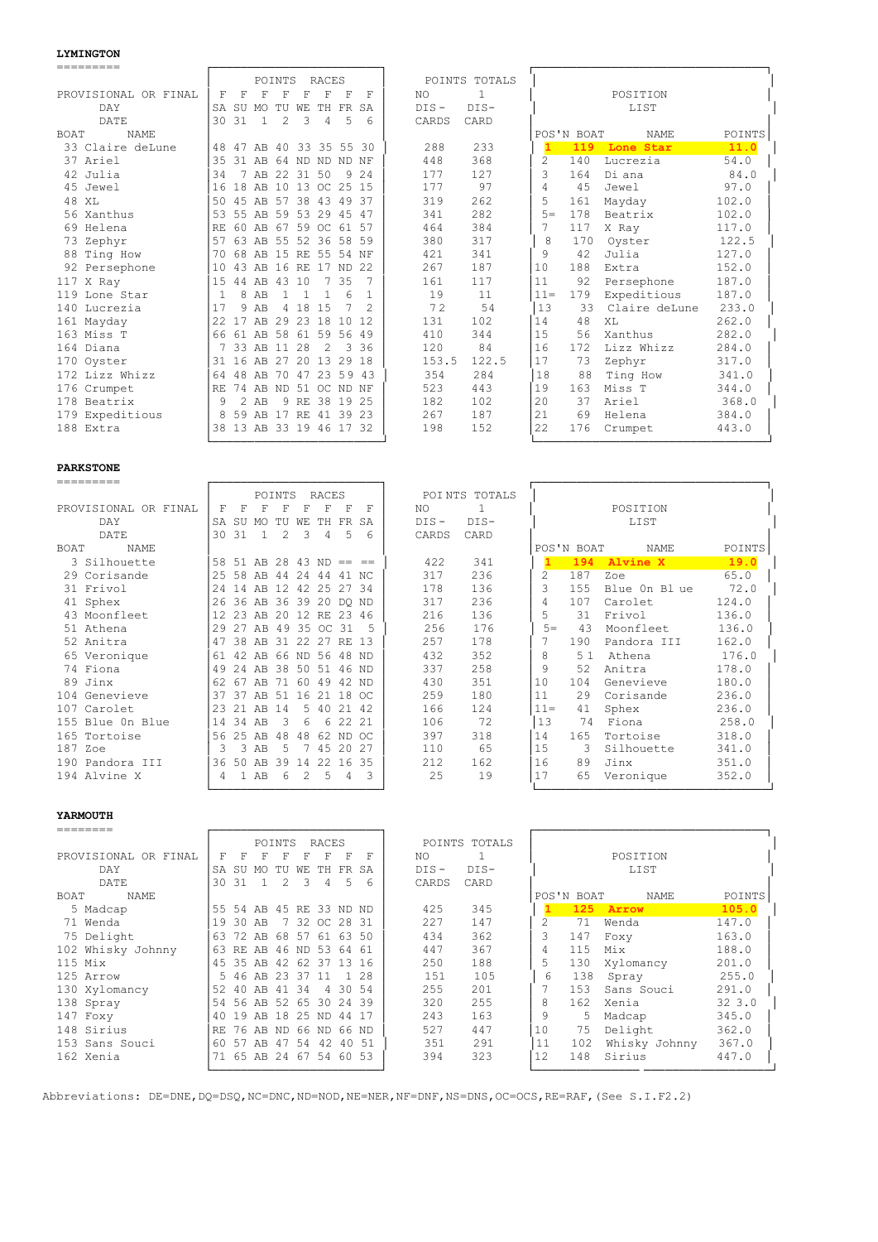### **LYMINGTON**

| =========                  |              |               |                         |          |                |                |          |       |         |               |               |            |               |        |
|----------------------------|--------------|---------------|-------------------------|----------|----------------|----------------|----------|-------|---------|---------------|---------------|------------|---------------|--------|
|                            |              |               |                         | POINTS   |                | RACES          |          |       |         | POINTS TOTALS |               |            |               |        |
| PROVISIONAL OR FINAL       | F            | F             | F                       | F        | F              | F              | F        | F     | NO.     | 1             |               |            | POSITION      |        |
| DAY                        |              |               | SA SU MO TU WE          |          |                | TH FR SA       |          |       | $DIS -$ | $DIS-$        |               |            | LIST          |        |
| DATE                       |              | 30 31         | $\mathbf{1}$            | 2        | 3              | $\overline{4}$ | -5       | 6     | CARDS   | CARD          |               |            |               |        |
| <b>NAME</b><br><b>BOAT</b> |              |               |                         |          |                |                |          |       |         |               |               | POS'N BOAT | <b>NAME</b>   | POINTS |
| 33 Claire deLune           |              |               | 48 47 AB 40 33 35 55 30 |          |                |                |          |       | 288     | 233           |               | 119        | Lone Star     | 11.0   |
| 37 Ariel                   | 35           |               | 31 AB 64 ND ND ND NF    |          |                |                |          |       | 448     | 368           | $\mathcal{L}$ | 140        | Lucrezia      | 54.0   |
| 42 Julia                   | 34           |               | 7 AB 22 31 50           |          |                |                |          | 9 2 4 | 177     | 127           | ς             | 164        | Di ana        | 84.0   |
| 45 Jewel                   | 16           |               | 18 AB 10 13 OC 25 15    |          |                |                |          |       | 177     | 97            | 4             | 45         | Jewel         | 97.0   |
| 48 XL                      | 50           |               | 45 AB 57 38 43 49 37    |          |                |                |          |       | 319     | 262           | 5             | 161        | Mayday        | 102.0  |
| 56 Xanthus                 |              |               | 53 55 AB 59 53 29 45 47 |          |                |                |          |       | 341     | 282           | $5 =$         | 178        | Beatrix       | 102.0  |
| 69 Helena                  | RF.          |               | 60 AB 67 59 OC 61 57    |          |                |                |          |       | 464     | 384           | 7             | 117        | X Ray         | 117.0  |
| 73 Zephyr                  | 57           |               | 63 AB 55 52 36 58 59    |          |                |                |          |       | 380     | 317           | 8             | 170        | Oyster        | 122.5  |
| 88 Ting How                | 70           |               | 68 AB 15 RE 55 54 NF    |          |                |                |          |       | 421     | 341           | 9             | 42         | Julia         | 127.0  |
| 92 Persephone              | 10           |               | 43 AB 16 RE 17 ND 22    |          |                |                |          |       | 267     | 187           | 10            | 188        | Extra         | 152.0  |
| $117$ X Ray                | 1.5          |               | 44 AB 43 10             |          |                | 7              | 35       |       | 161     | 117           | 11            | 92         | Persephone    | 187.0  |
| 119 Lone Star              | $\mathbf{1}$ |               | 8 AB                    | -1.      | $\overline{1}$ | $\mathbf{1}$   | 6        |       | 19      | 11            | $11 =$        | 179        | Expeditious   | 187.0  |
| 140 Lucrezia               | 17           | 9             | AB                      | 4        | 18             | 1.5            | 7        |       | 72      | 54            | 13            | 33         | Claire deLune | 233.0  |
| 161 Mayday                 | 2.2.         | 17            | AB                      | 29 23 18 |                |                | 10       | 12    | 131     | 102           | 14            | 48         | XL            | 262.0  |
| 163 Miss T                 |              |               | 66 61 AB 58 61          |          |                |                | 59 56 49 |       | 410     | 344           | 15            | 56         | Xanthus       | 282.0  |
| 164 Diana                  |              |               | 7 33 AB 11 28           |          |                | $\overline{2}$ |          | 3 36  | 120     | 84            | 16            | 172        | Lizz Whizz    | 284.0  |
| 170 Oyster                 |              |               | 31 16 AB 27 20 13 29 18 |          |                |                |          |       | 153.5   | 122.5         | 17            | 73         | Zephyr        | 317.0  |
| 172 Lizz Whizz             | 64           |               | 48 AB 70 47             |          |                |                | 23 59 43 |       | 354     | 284           | 18            | 88         | Ting How      | 341.0  |
| 176 Crumpet                | RF.          |               | 74 AB ND 51 OC ND NF    |          |                |                |          |       | 523     | 443           | 19            | 163        | Miss T        | 344.0  |
| 178 Beatrix                | 9            | $\mathcal{L}$ | AB                      |          | 9 RE           |                | 38 19 25 |       | 182     | 102           | 20            | 37         | Ariel         | 368.0  |
| 179 Expeditious            |              |               | 8 59 AB 17 RE 41 39 23  |          |                |                |          |       | 267     | 187           | 2.1           | 69         | Helena        | 384.0  |
| 188 Extra                  |              |               | 38 13 AB 33 19 46 17 32 |          |                |                |          |       | 198     | 152           | 22            | 176        | Crumpet       | 443.0  |

└────────────────────────┘ └─────────────────────────────────┘

========= ┌────────────────────────┐ ┌─────────────────────────────────┐

### **PARKSTONE**

|                      |     |               |                         | POINTS        |               | RACES          |          |                         |         | POINTS TOTALS |               |            |              |        |
|----------------------|-----|---------------|-------------------------|---------------|---------------|----------------|----------|-------------------------|---------|---------------|---------------|------------|--------------|--------|
| PROVISIONAL OR FINAL | F   | F             | F                       | F             | F             | F              | F        | F                       | NO.     |               |               |            | POSITION     |        |
| DAY                  |     |               | SA SU MO TU WE          |               |               | TH FR SA       |          |                         | $DIS -$ | $DIS-$        |               |            | LIST         |        |
| DATE                 | 30  | 31            | $\mathbf{1}$            | $\mathcal{L}$ | 3             | $\overline{4}$ | 5        | 6                       | CARDS   | CARD          |               |            |              |        |
| BOAT<br><b>NAME</b>  |     |               |                         |               |               |                |          |                         |         |               |               | POS'N BOAT | NAME         | POINTS |
| 3 Silhouette         |     |               |                         |               |               |                |          | 58 51 AB 28 43 ND == == | 422     | 341           |               | 194        | Alvine X     | 19.0   |
| 29 Corisande         |     |               | 25 58 AB 44             |               |               | 24 44          | 41 NC    |                         | 317     | 236           | $\mathcal{L}$ | 187        | Zoe          | 65.0   |
| 31 Frivol            | 24  | 14            | AB 12 42 25 27 34       |               |               |                |          |                         | 178     | 136           | ς             | 155        | Blue On Blue | 72.0   |
| 41 Sphex             |     |               | 26 36 AB 36 39 20 DO ND |               |               |                |          |                         | 317     | 236           | 4             | 107        | Carolet      | 124.0  |
| 43 Moonfleet         |     |               | 12 23 AB 20 12 RE 23    |               |               |                |          | 46                      | 216     | 136           | 5             | 31         | Frivol       | 136.0  |
| 51 Athena            | 29  | 27            | AB 49 35 OC 31          |               |               |                |          |                         | 256     | 176           | $5 =$         | 43         | Moonfleet    | 136.0  |
| 52 Anitra            | 47  |               | 38 AB 31 22 27 RE 13    |               |               |                |          |                         | 257     | 178           |               | 190        | Pandora III  | 162.0  |
| 65 Veronique         |     |               | 61 42 AB 66 ND 56 48 ND |               |               |                |          |                         | 432     | 352           | 8             | 51         | Athena       | 176.0  |
| 74 Fiona             |     |               | 49 24 AB 38 50 51 46 ND |               |               |                |          |                         | 337     | 258           | 9             | 52         | Anitra       | 178.0  |
| 89 Jinx              | 62. | 67 AB         |                         | 71            |               | 60 49 42 ND    |          |                         | 430     | 351           | 10            | 104        | Genevieve    | 180.0  |
| 104 Genevieve        | 37  | - 37          | AB 51 16                |               |               | 21 18 OC       |          |                         | 259     | 180           | 11            | 29         | Corisande    | 236.0  |
| 107 Carolet          | 23  |               | 21 AB 14                |               |               | 5 40 21 42     |          |                         | 166     | 124           | $11 =$        | 41         | Sphex        | 236.0  |
| 155 Blue On Blue     | 14  |               | 34 AB                   | -3            | 6             |                | 6 22 21  |                         | 106     | 72            | 13            | 74         | Fiona        | 258.0  |
| 165 Tortoise         | 56  | 25            | AB                      | 48            | 48            |                | 62 ND OC |                         | 397     | 318           | 14            | 165        | Tortoise     | 318.0  |
| 187 Zoe              | 3   | $\mathcal{L}$ | AB                      | 5             |               |                | 45 20 27 |                         | 110     | 65            | 1.5           | 3          | Silhouette   | 341.0  |
| 190 Pandora III      | 36  | 50            | AB                      | 39            | 14            | 22             | 16       | 35                      | 212     | 162           | 16            | 89         | Jinx         | 351.0  |
| 194 Alvine X         | 4   |               | AB                      | 6             | $\mathcal{L}$ | 5              | 4        | २                       | 25      | 19            | 17            | 65         | Veronique    | 352.0  |
|                      |     |               |                         |               |               |                |          |                         |         |               |               |            |              |        |

# **YARMOUTH**

|                      |     | POINTS<br>RACES |       |     |     |          |     |          |         | POINTS TOTALS |    |            |               |        |
|----------------------|-----|-----------------|-------|-----|-----|----------|-----|----------|---------|---------------|----|------------|---------------|--------|
| PROVISIONAL OR FINAL | F   | F               | F     |     |     |          | F   | F        | NO.     |               |    |            | POSITION      |        |
| DAY                  | SA  | -SU             | MO.   | TU  | WF. | TH.      | FR. | SA       | $DIS -$ | $DIS-$        |    |            | LIST          |        |
| DATE                 | 30  | 31              |       | 2   | 3   | 4        | 5   | 6        | CARDS   | CARD          |    |            |               |        |
| NAME<br><b>BOAT</b>  |     |                 |       |     |     |          |     |          |         |               |    | POS'N BOAT | NAME          | POINTS |
| 5 Madcap             | 55  | .54             | AB    | 45  | RE. |          |     | 33 ND ND | 425     | 345           |    | 125        | Arrow         | 105.0  |
| 71 Wenda             | 19  | 30              | AB    |     | 32. | OC 28    |     | -31      | 227     | 147           |    | 71         | Wenda         | 147.0  |
| 75 Delight           | 63  | 72              | AB    | 68  | 57  | 61       | 63  | 50       | 434     | 362           | 3  | 147        | Foxy          | 163.0  |
| 102 Whisky Johnny    | 63  | RE.             | AB    | 46  | ND. | 53       | 64  | -61      | 447     | 367           | 4  | 115        | Mix           | 188.0  |
| 115 Mix              | 4.5 | २५              | AB    | 42  | 62  | 37       | 13  | 16       | 250     | 188           | 5  | 130        | Xylomancy     | 201.0  |
| 125 Arrow            | 5.  | 46              | AB    | クマ  | 37  | -11      |     | 28       | 151     | 105           | 6  | 138        | Spray         | 255.0  |
| 130 Xylomancy        | .52 | 4 N             | AB    | 41  | 34  |          | 30  | 54       | 255     | 201           |    | 153        | Sans Souci    | 291.0  |
| 138 Spray            | 54  | 56              | AB    | 52  | 65. | 30       | 2.4 | -39      | 320     | 255           | 8  | 162        | Xenia         | 323.0  |
| 147 Foxy             | 40  | 1 Q             | AB    | 18  | 25  | ND.      | 44  |          | 243     | 163           | 9  | 5          | Madcap        | 345.0  |
| 148 Sirius           | RF. | 76.             | AB.   | ND. | 66  | ND 66 ND |     |          | 527     | 447           | 10 | 75         | Delight       | 362.0  |
| 153 Sans Souci       | -60 | -57             | AB    | 47  | 54  | 42       | 40  | -51      | 351     | 291           |    | 102        | Whisky Johnny | 367.0  |
| 162 Xenia            |     | 65              | AB 24 |     | -67 | 54 60    |     | -53      | 394     | 323           | 12 | 148        | Sirius        | 447.0  |
|                      |     |                 |       |     |     |          |     |          |         |               |    |            |               |        |

Abbreviations: DE=DNE,DQ=DSQ,NC=DNC,ND=NOD,NE=NER,NF=DNF,NS=DNS,OC=OCS,RE=RAF,(See S.I.F2.2)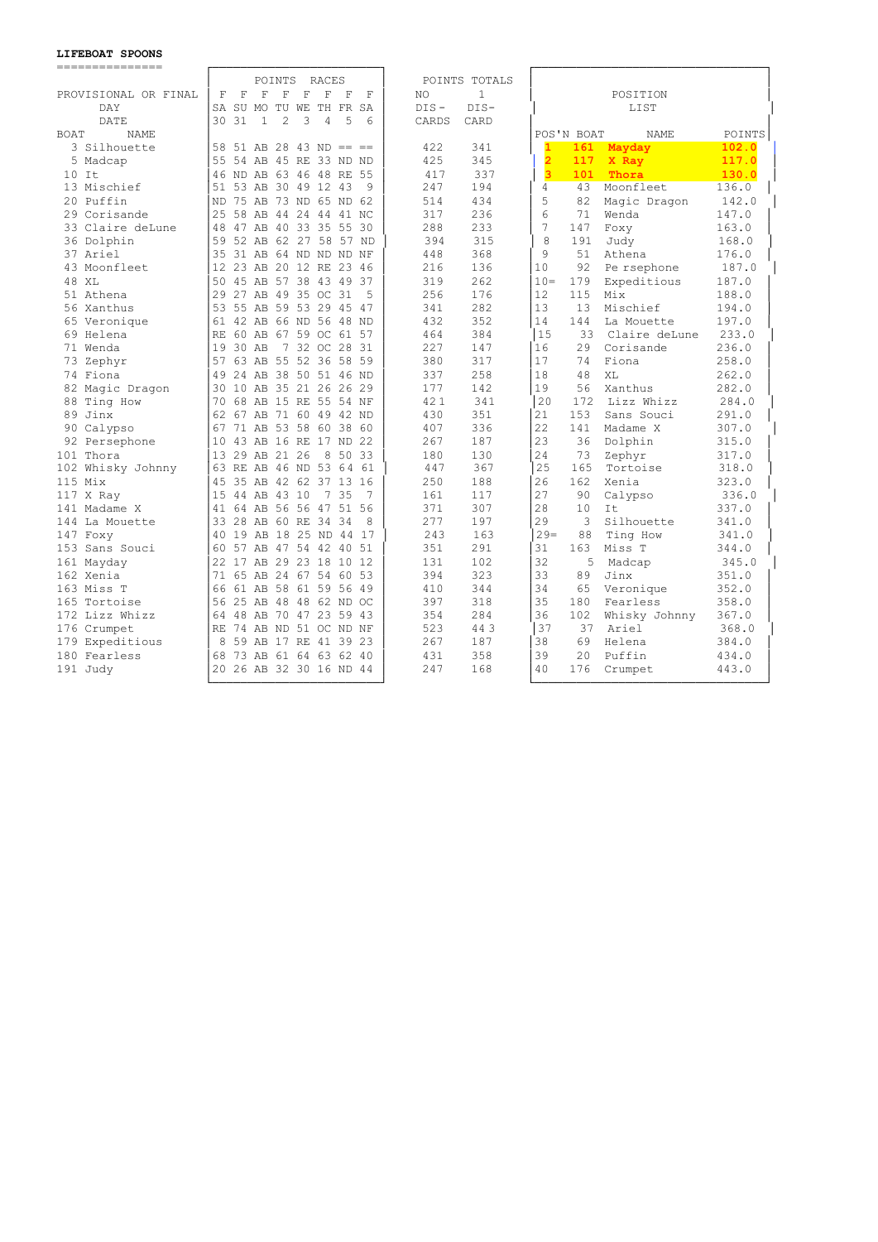### **LIFEBOAT SPOONS**

| ---------------            |                                                                                                          |                     |                                         |               |
|----------------------------|----------------------------------------------------------------------------------------------------------|---------------------|-----------------------------------------|---------------|
|                            | POINTS<br>RACES                                                                                          | POINTS TOTALS       |                                         |               |
| PROVISIONAL OR FINAL       | $\mathbf F$<br>$\mathbf F$<br>$\mathbf F$<br>F<br>$\mathbf F$<br>$\mathbf F$<br>$_{\rm F}$<br>$_{\rm F}$ | $\mathbf{1}$<br>NO. | POSITION                                |               |
| DAY                        | SA SU MO TU WE TH FR<br>SA                                                                               | $DIS-$<br>$DIS -$   | LIST                                    |               |
| DATE                       | 30<br>31<br>$\mathbf{1}$<br>$\mathfrak{D}$<br>3<br>$\overline{4}$<br>.5<br>6                             | CARDS<br>CARD       |                                         |               |
| <b>BOAT</b><br><b>NAME</b> |                                                                                                          |                     | POS'N BOAT<br><b>NAME</b>               | <b>POINTS</b> |
| 3 Silhouette               | 58<br>$51$ AB 28 43 ND == ==                                                                             | 422<br>341          | $\mathbf{1}$<br>161<br>Mayday           | 102.0         |
| 5 Madcap                   | 55<br>54 AB 45 RE 33 ND ND                                                                               | 425<br>345          | $\overline{\mathbf{2}}$<br>117<br>X Ray | 117.0         |
| $10$ It                    | 46 ND AB 63 46 48 RE 55                                                                                  | 417<br>337          | $\overline{\mathbf{3}}$<br>101<br>Thora | 130.0         |
| 13 Mischief                | 53 AB 30 49 12 43<br>51<br>9                                                                             | 247<br>194          | 43<br>Moonfleet<br>4                    | 136.0         |
| 20 Puffin                  | 75 AB 73 ND 65 ND 62<br><b>ND</b>                                                                        | 434<br>514          | 5<br>82<br>Magic Dragon                 | 142.0         |
| 29 Corisande               | 25<br>58 AB 44 24 44 41 NC                                                                               | 317<br>236          | 6<br>71<br>Wenda                        | 147.0         |
| 33 Claire deLune           | 47 AB 40 33 35 55 30<br>48                                                                               | 233<br>288          | 7<br>147<br>Foxy                        | 163.0         |
| 36 Dolphin                 | 59<br>52 AB 62 27 58 57 ND                                                                               | 394<br>315          | 8<br>191<br>Judy                        | 168.0         |
| 37 Ariel                   | 31 AB 64 ND ND ND NF<br>35                                                                               | 368<br>448          | 9<br>Athena<br>51                       | 176.0         |
| 43 Moonfleet               | 12<br>23 AB 20 12 RE 23 46                                                                               | 216<br>136          | 10<br>92<br>Pe rsephone                 | 187.0         |
| 48 XL                      | 45 AB 57 38 43 49 37<br>50                                                                               | 319<br>262          | $10 =$<br>Expeditious<br>179            | 187.0         |
| 51 Athena                  | 27 AB 49 35 OC 31<br>2.9<br>5                                                                            | 256<br>176          | 12<br>115<br>Mix                        | 188.0         |
| 56 Xanthus                 | 55 AB 59 53 29 45 47<br>53                                                                               | 282<br>341          | 13<br>13<br>Mischief                    | 194.0         |
| 65 Veronique               | 42 AB 66 ND 56 48 ND<br>61                                                                               | 432<br>352          | 14<br>144<br>La Mouette                 | 197.0         |
| 69 Helena                  | 60 AB 67 59 OC 61 57<br>RF.                                                                              | 384<br>464          | 15<br>Claire deLune<br>33               | 233.0         |
| 71 Wenda                   | 7 32 OC 28 31<br>19<br>30 AB                                                                             | 227<br>147          | 2.9<br>16<br>Corisande                  | 236.0         |
| 73 Zephyr                  | 63 AB 55 52 36 58 59<br>57                                                                               | 380<br>317          | 17<br>74<br>Fiona                       | 258.0         |
| 74 Fiona                   | 49<br>24 AB 38 50 51 46 ND                                                                               | 258<br>337          | 18<br>48<br>XL                          | 262.0         |
| 82 Magic Dragon            | 35 21 26 26 29<br>30<br>10<br>AB                                                                         | 177<br>142          | 19<br>Xanthus<br>56                     | 282.0         |
| 88 Ting How                | 68 AB 15 RE 55 54 NF<br>70                                                                               | 421<br>341          | 20<br>172<br>Lizz Whizz                 | 284.0         |
| 89 Jinx                    | 62<br>67 AB 71 60 49 42 ND                                                                               | 430<br>351          | Sans Souci<br>2.1<br>153                | 291.0         |
| 90 Calypso                 | 71 AB 53 58 60 38<br>60<br>67                                                                            | 407<br>336          | 22<br>141<br>Madame X                   | 307.0         |
| 92 Persephone              | 10<br>43 AB 16 RE 17 ND 22                                                                               | 267<br>187          | 23<br>36<br>Dolphin                     | 315.0         |
| 101 Thora                  | 13<br>29 AB 21 26<br>8<br>50<br>33                                                                       | 130<br>180          | 24<br>73<br>Zephyr                      | 317.0         |
| 102 Whisky Johnny          | 63 RE AB 46 ND 53 64<br>- 61                                                                             | 367<br>447          | 25<br>165<br>Tortoise                   | 318.0         |
| $115$ Mix                  | 45<br>35 AB 42 62 37 13 16                                                                               | 250<br>188          | 2.6<br>162<br>Xenia                     | 323.0         |
| 117 X Ray                  | 1.5<br>44 AB 43 10<br>7<br>35<br>7                                                                       | 161<br>117          | 27<br>90<br>Calypso                     | 336.0         |
| 141 Madame X               | 41 64 AB 56 56 47 51 56                                                                                  | 307<br>371          | 28<br>10<br>Tt.                         | 337.0         |
| 144 La Mouette             | 33<br>28 AB 60 RE<br>34 34<br>8                                                                          | 277<br>197          | 29<br>3<br>Silhouette                   | 341.0         |
| 147 Foxy                   | 19 AB 18 25 ND 44 17<br>40                                                                               | 243<br>163          | $29=$<br>88<br>Ting How                 | 341.0         |
| 153 Sans Souci             | 57 AB 47 54 42 40<br>51<br>60                                                                            | 351<br>291          | 31<br>163<br>Miss T                     | 344.0         |
| 161 Mayday                 | 17 AB 29 23 18<br>22<br>10<br>12                                                                         | 102<br>131          | 32<br>5<br>Madcap                       | 345.0         |
| 162 Xenia                  | 71 65 AB 24 67 54 60 53                                                                                  | 323<br>394          | 33<br>89<br>Jinx                        | 351.0         |
| 163 Miss T                 | 66<br>61 AB 58<br>61 59 56 49                                                                            | 410<br>344          | 34<br>Veronique<br>65                   | 352.0         |
| 165 Tortoise               | 25 AB 48 48 62 ND OC<br>56                                                                               | 318<br>397          | 35<br>180<br>Fearless                   | 358.0         |
| 172 Lizz Whizz             | 48 AB 70<br>47 23 59 43<br>64                                                                            | 354<br>284          | 36<br>Whisky Johnny<br>102              | 367.0         |
| 176 Crumpet                | 74 AB ND<br>51 OC ND NF<br><b>RE</b>                                                                     | 523<br>443          | 37<br>37<br>Ariel                       | 368.0         |
| 179 Expeditious            | 59 AB 17 RE 41 39 23<br>8                                                                                | 267<br>187          | 38<br>69<br>Helena                      | 384.0         |
| 180 Fearless               | 73 AB 61 64 63 62 40<br>68                                                                               | 431<br>358          | 39<br>2.0<br>Puffin                     | 434.0         |
| 191 Judy                   | 20 26 AB 32 30 16 ND 44                                                                                  | 247<br>168          | 40<br>176<br>Crumpet                    | 443.0         |
|                            |                                                                                                          |                     |                                         |               |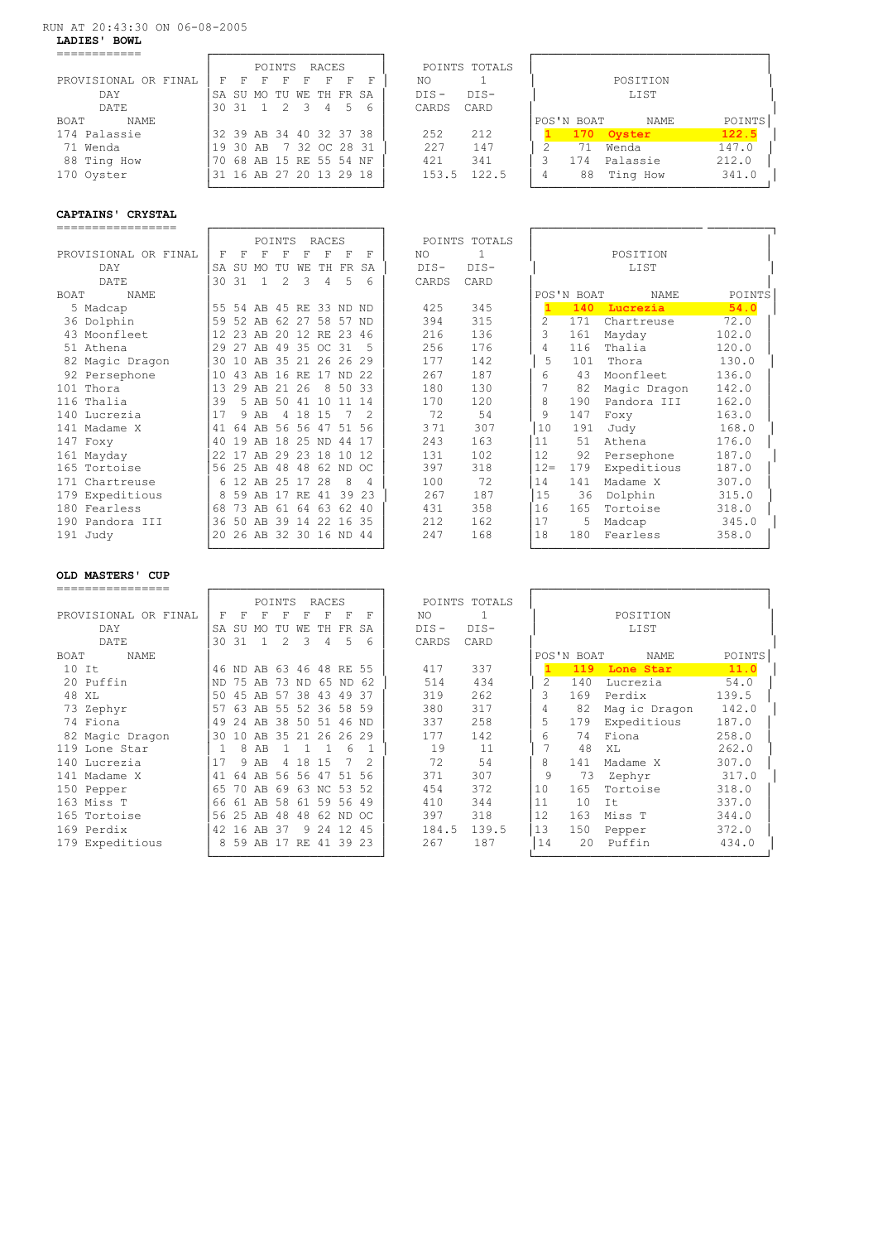### RUN AT 20:43:30 ON 06-08-2005

**LADIES' BOWL** 

|                      | POINTS              | RACES                   | POINTS TOTALS     |                    |        |
|----------------------|---------------------|-------------------------|-------------------|--------------------|--------|
| PROVISIONAL OR FINAL | ਸ<br>F.<br>F.<br>F. | F.<br>- F<br>F.         | NΟ                | POSITION           |        |
| DAY                  |                     | SA SU MO TU WE TH FR SA | $DTS -$<br>$DTS-$ | LIST               |        |
| DATE                 |                     | 30 31 1 2 3 4 5 6       | CARD<br>CARDS     |                    |        |
| <b>BOAT</b><br>NAME  |                     |                         |                   | POS'N BOAT<br>NAME | POINTS |
| 174 Palassie         |                     | 32 39 AB 34 40 32 37 38 | 212<br>252        | 170 Ovster         | 122.5  |
| 71 Wenda             |                     | 19 30 AB 7 32 OC 28 31  | 147<br>227        | Wenda<br>71        | 147.0  |
| 88 Ting How          |                     | 70 68 AB 15 RE 55 54 NF | 341<br>421        | Palassie<br>174    | 212.0  |
| 170 Oyster           |                     | 31 16 AB 27 20 13 29 18 | 122.5<br>153.5    | Ting How<br>88     | 341.0  |

|                      |                         |   |          | POINTS | RACES                   |   |   |         | POINTS TOTALS |            |          |        |
|----------------------|-------------------------|---|----------|--------|-------------------------|---|---|---------|---------------|------------|----------|--------|
| PROVISIONAL OR FINAL | F.                      | F | F        |        |                         | F |   | NΟ      |               |            | POSITION |        |
| DAY                  |                         |   |          |        | SA SU MO TU WE TH FR SA |   |   | $DTS -$ | $DTS-$        |            | LIST     |        |
| DATE.                | 30 31                   |   |          |        | 2 3 4                   |   | 6 | CARDS   | CARD          |            |          |        |
| BOAT<br>NAME         |                         |   |          |        |                         |   |   |         |               | POS'N BOAT | NAME     | POINTS |
| 174 Palassie         | 32 39 AB 34 40 32 37 38 |   |          |        |                         |   |   | 252     | 212           | 170        | Oyster   | 122.5  |
| 71 Wenda             |                         |   | 19 30 AB |        | 7 32 OC 28 31           |   |   | 227     | 147           | 71         | Wenda    | 147.0  |
| 88 Ting How          | 70                      |   |          |        | 68 AB 15 RE 55 54 NF    |   |   | 421     | 341           | 174        | Palassie | 212.0  |
| 170 Oyster           |                         |   |          |        | 31 16 AB 27 20 13 29 18 |   |   | 153.5   | 122.5         | 88         | Ting How | 341.0  |

## **CAPTAINS' CRYSTAL**

|                      |      |       |                         | POINTS        |          | RACES          |         |               |        | POINTS TOTALS |               |            |              |        |
|----------------------|------|-------|-------------------------|---------------|----------|----------------|---------|---------------|--------|---------------|---------------|------------|--------------|--------|
| PROVISIONAL OR FINAL | F    | F     | F                       | F             | F        | F              | F       | F             | NO.    | -1            |               |            | POSITION     |        |
| DAY                  | SA   | SU    | MO                      | TU            | WE       | TH.            | FR      | SA            | $DIS-$ | $DIS-$        |               |            | LIST         |        |
| <b>DATE</b>          | 30   | 31    | 1.                      | $\mathcal{L}$ | 3        | 4              | .5      | 6             | CARDS  | CARD          |               |            |              |        |
| <b>NAME</b><br>BOAT  |      |       |                         |               |          |                |         |               |        |               |               | POS'N BOAT | NAME         | POINTS |
| 5 Madcap             |      |       | 55 54 AB 45 RE 33 ND ND |               |          |                |         |               | 425    | 345           |               | 140        | Lucrezia     | 54.0   |
| 36 Dolphin           | 59   | 52    | AB 62                   |               | 27       | 58 57          |         | ND.           | 394    | 315           | $\mathcal{L}$ | 171        | Chartreuse   | 72.0   |
| 43 Moonfleet         | 12   |       | 23 AB 20 12 RE 23       |               |          |                |         | 46            | 216    | 136           | 3             | 161        | Mayday       | 102.0  |
| 51 Athena            | 29   | 27    |                         |               |          | AB 49 35 OC 31 |         | 5             | 256    | 176           | 4             | 116        | Thalia       | 120.0  |
| 82 Magic Dragon      | 30   | 10    |                         |               |          | AB 35 21 26 26 |         | 29            | 177    | 142           | .5            | 101        | Thora        | 130.0  |
| 92 Persephone        | 10   | 43    |                         | AB 16 RE      |          | 17 ND 22       |         |               | 267    | 187           | 6             | 43         | Moonfleet    | 136.0  |
| 101 Thora            | 13   | 29    | AB                      | 2.1           | 26       |                | 8 50 33 |               | 180    | 130           | 7             | 82         | Magic Dragon | 142.0  |
| 116 Thalia           | 39   |       | 5 AB                    | 50 41         |          | 10             | 11      | 14            | 170    | 120           | 8             | 190        | Pandora III  | 162.0  |
| 140 Lucrezia         | 17   | 9     | AB                      | 4             | -18      | 1.5            |         | $\mathcal{L}$ | 72     | 54            | 9             | 147        | Foxy         | 163.0  |
| 141 Madame X         | 41   | 64    |                         |               |          | AB 56 56 47    | 51 56   |               | 371    | 307           | 10            | 191        | Judy         | 168.0  |
| 147 Foxy             | 40   | 19    | AB                      | 18            |          | 25 ND 44 17    |         |               | 243    | 163           | 11            | 51         | Athena       | 176.0  |
| 161 Mayday           | 2.2. | 17    | AB                      |               | 29 23 18 |                | 10      | 12            | 131    | 102           | 12            | 92         | Persephone   | 187.0  |
| 165 Tortoise         |      | 56 25 | AB                      | 48            | 48       | 62 ND OC       |         |               | 397    | 318           | $12 =$        | 179        | Expeditious  | 187.0  |
| 171 Chartreuse       |      | 6 12  |                         | AB 25 17      |          | 28             | 8       | 4             | 100    | 72            | 14            | 141        | Madame X     | 307.0  |
| 179 Expeditious      | 8    | 59    | AB                      | 17            | RF.      | 41             | 39      | 23            | 267    | 187           | 15            | 36         | Dolphin      | 315.0  |
| 180 Fearless         | 68   | 73    | AB                      | 61            | 64       | 63             | 62 40   |               | 431    | 358           | 16            | 165        | Tortoise     | 318.0  |
| 190 Pandora III      | 36   |       | 50 AB 39 14             |               |          | 22 16 35       |         |               | 212    | 162           | 17            | 5          | Madcap       | 345.0  |
| 191 Judy             |      |       | 20 26 AB 32 30 16 ND 44 |               |          |                |         |               | 247    | 168           | 18            | 180        | Fearless     | 358.0  |
|                      |      |       |                         |               |          |                |         |               |        |               |               |            |              |        |

|                 |            | POSTTION           |        |
|-----------------|------------|--------------------|--------|
|                 |            | <b>LTST</b>        |        |
|                 | POS'N BOAT | NAME.              | POINTS |
| 1.              |            | 140 Lucrezia       | 54.0   |
| $\overline{2}$  |            | 171 Chartreuse     | 72.0   |
| $\overline{3}$  | 161        | Mayday             | 102.0  |
| 4               | 116        | Thalia             | 120.0  |
| 5               |            | 101 Thora          | 130.0  |
| 6               |            | 43 Moonfleet       | 136.0  |
| 7               | 82         | Magic Dragon 142.0 |        |
| 8               | 190        | Pandora III        | 162.0  |
| 9               | 147        | Foxy               | 163.0  |
| 10              | 191        | Judy               | 168.0  |
| 11              | 51         | Athena             | 176.0  |
| 12 <sup>7</sup> | 92         | Persephone         | 187.0  |
|                 | $12 = 179$ | Expeditious        | 187.0  |
| 14              | 141        | Madame X           | 307.0  |
| 15              | 36         | Dolphin            | 315.0  |
| 16              |            | 165 Tortoise       | 318.0  |
| 17              | 5          | Madcap             | 345.0  |
| 18              |            | 180 Fearless       | 358.0  |
|                 |            |                    |        |

### **OLD MASTERS' CUP**

|                      |     |     |                         | POINTS   |      | RACES       |          |       |       | POINTS TOTALS |                |            |               |        |
|----------------------|-----|-----|-------------------------|----------|------|-------------|----------|-------|-------|---------------|----------------|------------|---------------|--------|
| PROVISIONAL OR FINAL | F   | F   | F                       | F        |      |             | F        | F     | NΟ    |               |                |            | POSITION      |        |
| DAY                  | SA  | SU  | MO.                     | TU       | WЕ   | TH.         | FR.      | SA    | DIS-  | DIS-          |                |            | LIST          |        |
| DATE                 | 30  | 31  |                         | 2        | 3    | 4           | 5        | 6     | CARDS | CARD          |                |            |               |        |
| BOAT<br>NAME         |     |     |                         |          |      |             |          |       |       |               |                | POS'N BOAT | NAME          | POINTS |
| $10$ It              |     |     | 46 ND AB 63 46 48 RE 55 |          |      |             |          |       | 417   | 337           |                | 119        | Lone Star     | 11.0   |
| 20 Puffin            | ND. | 75  | AB                      |          |      | 73 ND 65    |          | ND 62 | 514   | 434           | $\mathfrak{D}$ | 140        | Lucrezia      | 54.0   |
| 48 XL                | 50  | 45  | AB                      | -57      |      | 38 43       | 49       | -37   | 319   | 262           | 3              | 169        | Perdix        | 139.5  |
| 73 Zephyr            | 57  | 63  |                         | AB 55 52 |      |             | 36 58    | 59    | 380   | 317           | 4              | 82         | Mag ic Dragon | 142.0  |
| 74 Fiona             | 49  | 24  | AB                      | -38      | - 50 | 51          | 46       | ND.   | 337   | 258           | 5              | 179        | Expeditious   | 187.0  |
| 82 Magic Dragon      | 30  | 1 O | AB                      | 35       |      | 21 26 26 29 |          |       | 177   | 142           | 6              | 74         | Fiona         | 258.0  |
| 119 Lone Star        |     | 8   | AB                      |          |      |             | 6        |       | 19    | 11            |                | 48         | XL            | 262.0  |
| 140 Lucrezia         | 17  | 9   | AB                      | 4        | - 18 | 15          |          | 2     | 72    | 54            | 8              | 141        | Madame X      | 307.0  |
| 141 Madame X         | 41  | 64  | AB                      | 56 56    |      |             | 47 51    | 56    | 371   | 307           | 9              | 73         | Zephyr        | 317.0  |
| 150 Pepper           | 65  | 70  | AB                      | 69       | 63   | NC 53 52    |          |       | 454   | 372           | 10             | 165        | Tortoise      | 318.0  |
| 163 Miss T           | 66  | -61 | AB                      | 58       | 61   |             | 59 56 49 |       | 410   | 344           | 11             | 10         | It            | 337.0  |
| 165 Tortoise         | 56. | 25  | AB                      | 48       | 48   |             | 62 ND OC |       | 397   | 318           | 12             | 163        | Miss T        | 344.0  |
| 169 Perdix           | 42  | 16  | AB                      | -37      | 9    | 2.4         | 12.      | 45    | 184.5 | 139.5         | 13             | 150        | Pepper        | 372.0  |
| 179 Expeditious      |     |     | 8 59 AB 17              |          | RE   |             | 41 39 23 |       | 267   | 187           | 14             | 20         | Puffin        | 434.0  |

└────────────────────────┘ └─────────────────────────────────┘